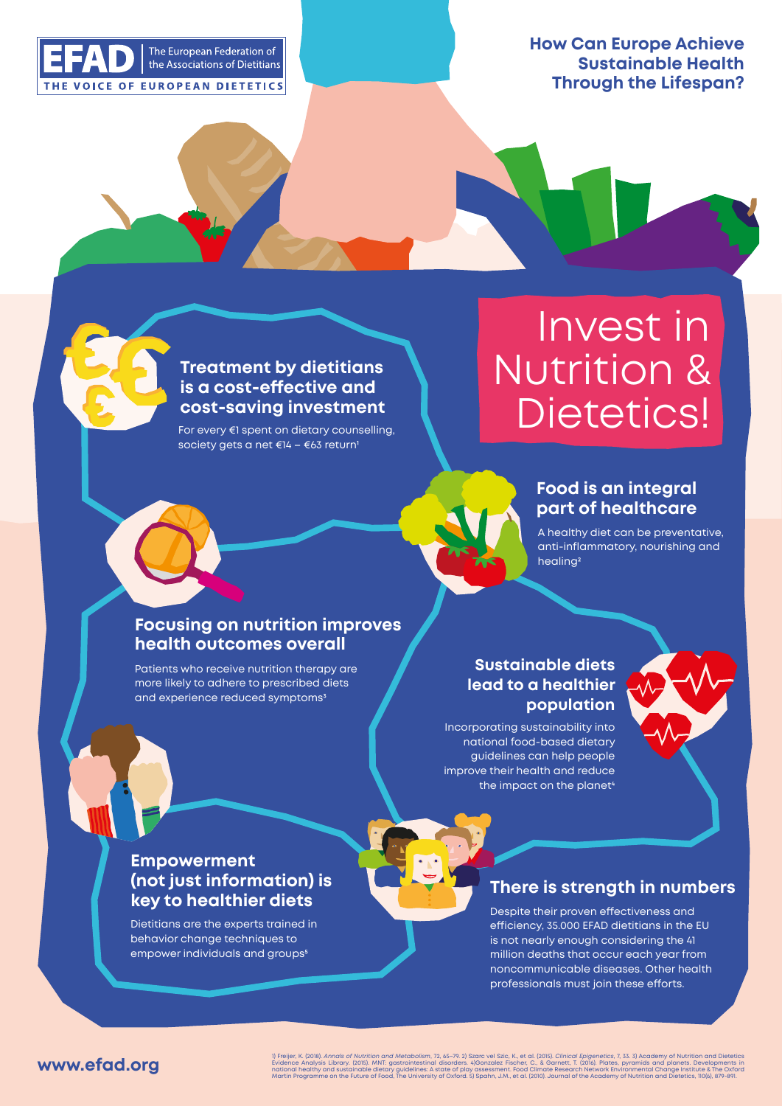

**How Can Europe Achieve Sustainable Health Through the Lifespan?**

#### **Treatment by dietitians is a cost-effective and cost-saving investment**

For every €1 spent on dietary counselling, society gets a net €14 – €63 return<sup>1</sup>

# Invest in Nutrition & Dietetics!

# **Food is an integral pa of healthcare**

A healthy diet can be preventative, anti-inflammatory, nourishing and healing<sup>2</sup>

## **Focusing on nutrition improves health outcomes overall**

Patients who receive nutrition therapy are more likely to adhere to prescribed diets and experience reduced symptoms<sup>3</sup>

## **Suainable diets lead to a healthier population**

Incorporating sustainability into national food-based dietary guidelines can help people improve their health and reduce the impact on the planet<sup>4</sup>



#### **Empowerment (not ju information) is key to healthier diets**

Dietitians are the experts trained in behavior change techniques to empower individuals and groups<sup>5</sup>

**There is strength in numbers** 

Despite their proven effectiveness and efficiency, 35.000 EFAD dietitians in the EU is not nearly enough considering the 41 million deaths that occur each year from noncommunicable diseases. Other health professionals must join these efforts.

#### **www.efad.org**

1) Freijer, K. (2018). Annals of Nurridon and Metabolism, 72, 65-79. 2) Stare L. (2016). C. (2015). Clinical Editory, 100. Stare Interviewers and Dialoctetics and planets. Developments in<br>Evidence Analysis Library. (2015).